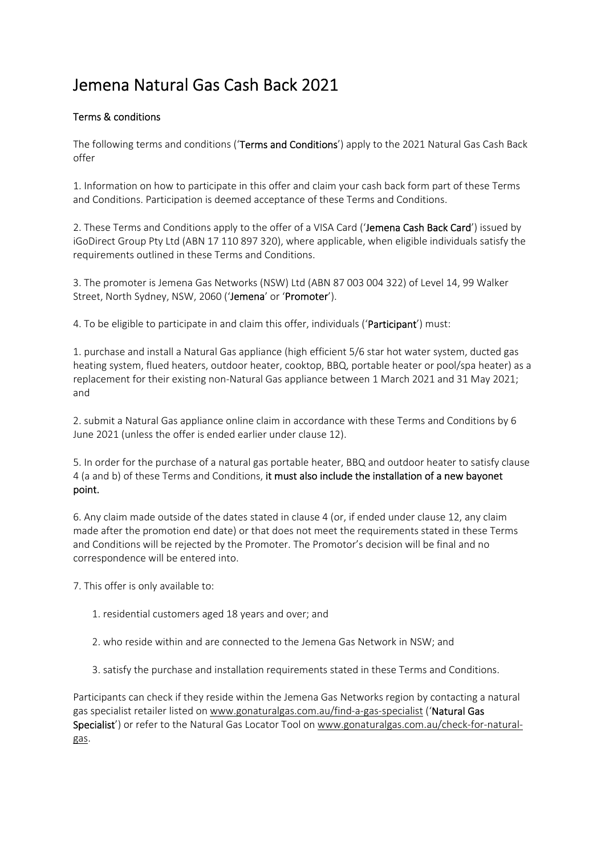## Jemena Natural Gas Cash Back 2021

## Terms & conditions

The following terms and conditions (**Terms and Conditions**') apply to the 2021 Natural Gas Cash Back offer

1. Information on how to participate in this offer and claim your cash back form part of these Terms and Conditions. Participation is deemed acceptance of these Terms and Conditions.

2. These Terms and Conditions apply to the offer of a VISA Card ('Jemena Cash Back Card') issued by iGoDirect Group Pty Ltd (ABN 17 110 897 320), where applicable, when eligible individuals satisfy the requirements outlined in these Terms and Conditions.

3. The promoter is Jemena Gas Networks (NSW) Ltd (ABN 87 003 004 322) of Level 14, 99 Walker Street, North Sydney, NSW, 2060 ('Jemena' or 'Promoter').

4. To be eligible to participate in and claim this offer, individuals ('Participant') must:

1. purchase and install a Natural Gas appliance (high efficient 5/6 star hot water system, ducted gas heating system, flued heaters, outdoor heater, cooktop, BBQ, portable heater or pool/spa heater) as a replacement for their existing non‐Natural Gas appliance between 1 March 2021 and 31 May 2021; and

2. submit a Natural Gas appliance online claim in accordance with these Terms and Conditions by 6 June 2021 (unless the offer is ended earlier under clause 12).

5. In order for the purchase of a natural gas portable heater, BBQ and outdoor heater to satisfy clause 4 (a and b) of these Terms and Conditions, it must also include the installation of a new bayonet point.

6. Any claim made outside of the dates stated in clause 4 (or, if ended under clause 12, any claim made after the promotion end date) or that does not meet the requirements stated in these Terms and Conditions will be rejected by the Promoter. The Promotor's decision will be final and no correspondence will be entered into.

7. This offer is only available to:

- 1. residential customers aged 18 years and over; and
- 2. who reside within and are connected to the Jemena Gas Network in NSW; and
- 3. satisfy the purchase and installation requirements stated in these Terms and Conditions.

Participants can check if they reside within the Jemena Gas Networks region by contacting a natural gas specialist retailer listed on www.gonaturalgas.com.au/find‐a‐gas‐specialist ('Natural Gas Specialist') or refer to the Natural Gas Locator Tool on www.gonaturalgas.com.au/check-for-naturalgas.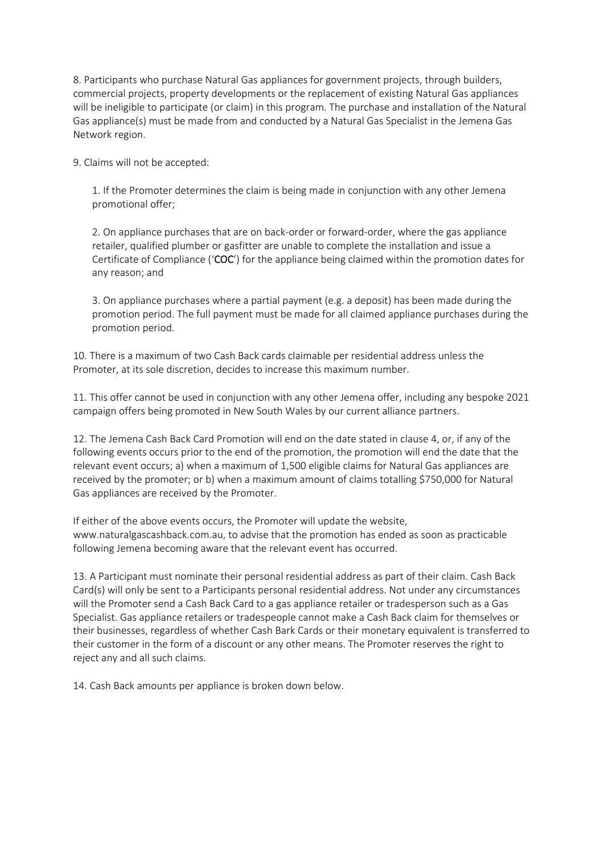8. Participants who purchase Natural Gas appliances for government projects, through builders, commercial projects, property developments or the replacement of existing Natural Gas appliances will be ineligible to participate (or claim) in this program. The purchase and installation of the Natural Gas appliance(s) must be made from and conducted by a Natural Gas Specialist in the Jemena Gas Network region.

9. Claims will not be accepted:

1. If the Promoter determines the claim is being made in conjunction with any other Jemena promotional offer;

2. On appliance purchases that are on back‐order or forward‐order, where the gas appliance retailer, qualified plumber or gasfitter are unable to complete the installation and issue a Certificate of Compliance ('COC') for the appliance being claimed within the promotion dates for any reason; and

3. On appliance purchases where a partial payment (e.g. a deposit) has been made during the promotion period. The full payment must be made for all claimed appliance purchases during the promotion period.

10. There is a maximum of two Cash Back cards claimable per residential address unless the Promoter, at its sole discretion, decides to increase this maximum number.

11. This offer cannot be used in conjunction with any other Jemena offer, including any bespoke 2021 campaign offers being promoted in New South Wales by our current alliance partners.

12. The Jemena Cash Back Card Promotion will end on the date stated in clause 4, or, if any of the following events occurs prior to the end of the promotion, the promotion will end the date that the relevant event occurs; a) when a maximum of 1,500 eligible claims for Natural Gas appliances are received by the promoter; or b) when a maximum amount of claims totalling \$750,000 for Natural Gas appliances are received by the Promoter.

If either of the above events occurs, the Promoter will update the website, www.naturalgascashback.com.au, to advise that the promotion has ended as soon as practicable following Jemena becoming aware that the relevant event has occurred.

13. A Participant must nominate their personal residential address as part of their claim. Cash Back Card(s) will only be sent to a Participants personal residential address. Not under any circumstances will the Promoter send a Cash Back Card to a gas appliance retailer or tradesperson such as a Gas Specialist. Gas appliance retailers or tradespeople cannot make a Cash Back claim for themselves or their businesses, regardless of whether Cash Bark Cards or their monetary equivalent is transferred to their customer in the form of a discount or any other means. The Promoter reserves the right to reject any and all such claims.

14. Cash Back amounts per appliance is broken down below.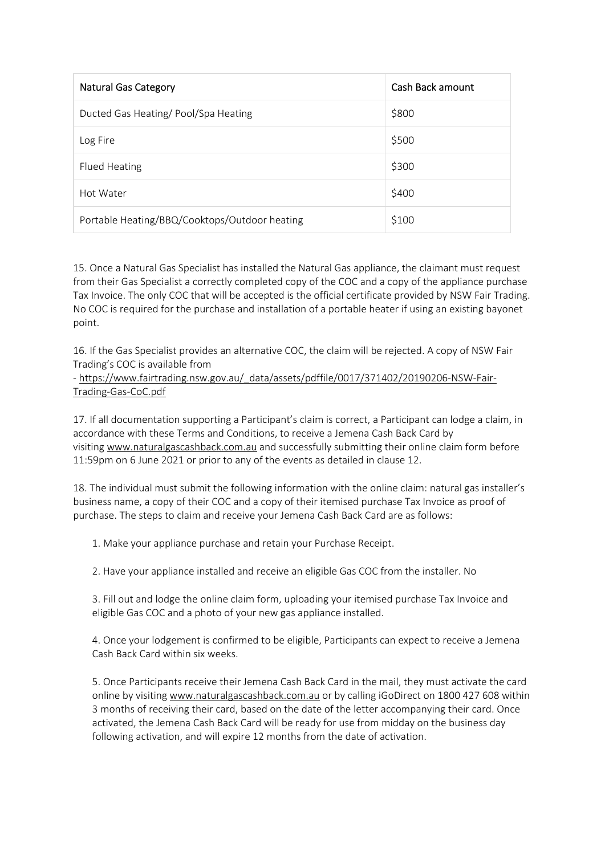| <b>Natural Gas Category</b>                   | Cash Back amount |
|-----------------------------------------------|------------------|
| Ducted Gas Heating/Pool/Spa Heating           | \$800            |
| Log Fire                                      | \$500            |
| Flued Heating                                 | \$300            |
| Hot Water                                     | \$400            |
| Portable Heating/BBQ/Cooktops/Outdoor heating | \$100            |

15. Once a Natural Gas Specialist has installed the Natural Gas appliance, the claimant must request from their Gas Specialist a correctly completed copy of the COC and a copy of the appliance purchase Tax Invoice. The only COC that will be accepted is the official certificate provided by NSW Fair Trading. No COC is required for the purchase and installation of a portable heater if using an existing bayonet point.

16. If the Gas Specialist provides an alternative COC, the claim will be rejected. A copy of NSW Fair Trading's COC is available from

- https://www.fairtrading.nsw.gov.au/\_data/assets/pdffile/0017/371402/20190206-NSW-Fair-Trading‐Gas‐CoC.pdf

17. If all documentation supporting a Participant's claim is correct, a Participant can lodge a claim, in accordance with these Terms and Conditions, to receive a Jemena Cash Back Card by visiting www.naturalgascashback.com.au and successfully submitting their online claim form before 11:59pm on 6 June 2021 or prior to any of the events as detailed in clause 12.

18. The individual must submit the following information with the online claim: natural gas installer's business name, a copy of their COC and a copy of their itemised purchase Tax Invoice as proof of purchase. The steps to claim and receive your Jemena Cash Back Card are as follows:

1. Make your appliance purchase and retain your Purchase Receipt.

2. Have your appliance installed and receive an eligible Gas COC from the installer. No

3. Fill out and lodge the online claim form, uploading your itemised purchase Tax Invoice and eligible Gas COC and a photo of your new gas appliance installed.

4. Once your lodgement is confirmed to be eligible, Participants can expect to receive a Jemena Cash Back Card within six weeks.

5. Once Participants receive their Jemena Cash Back Card in the mail, they must activate the card online by visiting www.naturalgascashback.com.au or by calling iGoDirect on 1800 427 608 within 3 months of receiving their card, based on the date of the letter accompanying their card. Once activated, the Jemena Cash Back Card will be ready for use from midday on the business day following activation, and will expire 12 months from the date of activation.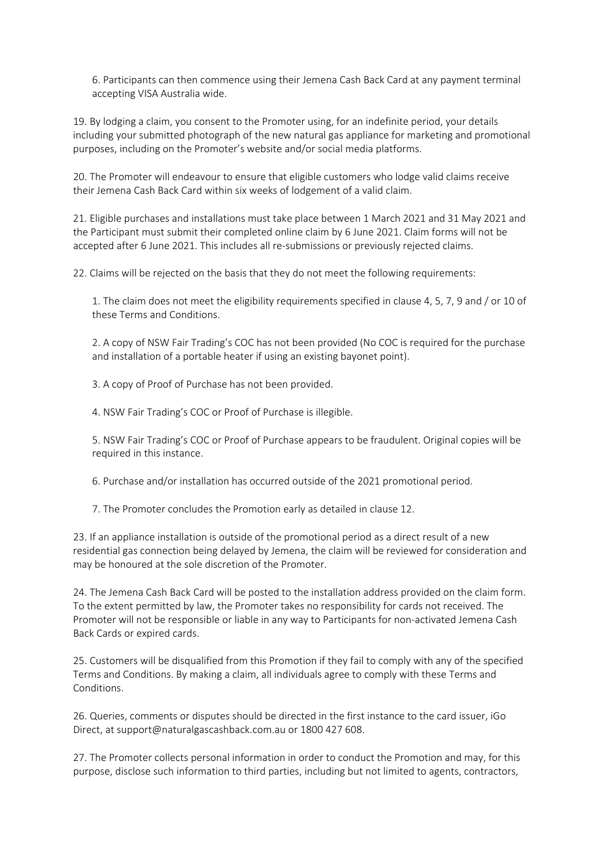6. Participants can then commence using their Jemena Cash Back Card at any payment terminal accepting VISA Australia wide.

19. By lodging a claim, you consent to the Promoter using, for an indefinite period, your details including your submitted photograph of the new natural gas appliance for marketing and promotional purposes, including on the Promoter's website and/or social media platforms.

20. The Promoter will endeavour to ensure that eligible customers who lodge valid claims receive their Jemena Cash Back Card within six weeks of lodgement of a valid claim.

21. Eligible purchases and installations must take place between 1 March 2021 and 31 May 2021 and the Participant must submit their completed online claim by 6 June 2021. Claim forms will not be accepted after 6 June 2021. This includes all re‐submissions or previously rejected claims.

22. Claims will be rejected on the basis that they do not meet the following requirements:

1. The claim does not meet the eligibility requirements specified in clause 4, 5, 7, 9 and / or 10 of these Terms and Conditions.

2. A copy of NSW Fair Trading's COC has not been provided (No COC is required for the purchase and installation of a portable heater if using an existing bayonet point).

3. A copy of Proof of Purchase has not been provided.

4. NSW Fair Trading's COC or Proof of Purchase is illegible.

5. NSW Fair Trading's COC or Proof of Purchase appears to be fraudulent. Original copies will be required in this instance.

6. Purchase and/or installation has occurred outside of the 2021 promotional period.

7. The Promoter concludes the Promotion early as detailed in clause 12.

23. If an appliance installation is outside of the promotional period as a direct result of a new residential gas connection being delayed by Jemena, the claim will be reviewed for consideration and may be honoured at the sole discretion of the Promoter.

24. The Jemena Cash Back Card will be posted to the installation address provided on the claim form. To the extent permitted by law, the Promoter takes no responsibility for cards not received. The Promoter will not be responsible or liable in any way to Participants for non‐activated Jemena Cash Back Cards or expired cards.

25. Customers will be disqualified from this Promotion if they fail to comply with any of the specified Terms and Conditions. By making a claim, all individuals agree to comply with these Terms and Conditions.

26. Queries, comments or disputes should be directed in the first instance to the card issuer, iGo Direct, at support@naturalgascashback.com.au or 1800 427 608.

27. The Promoter collects personal information in order to conduct the Promotion and may, for this purpose, disclose such information to third parties, including but not limited to agents, contractors,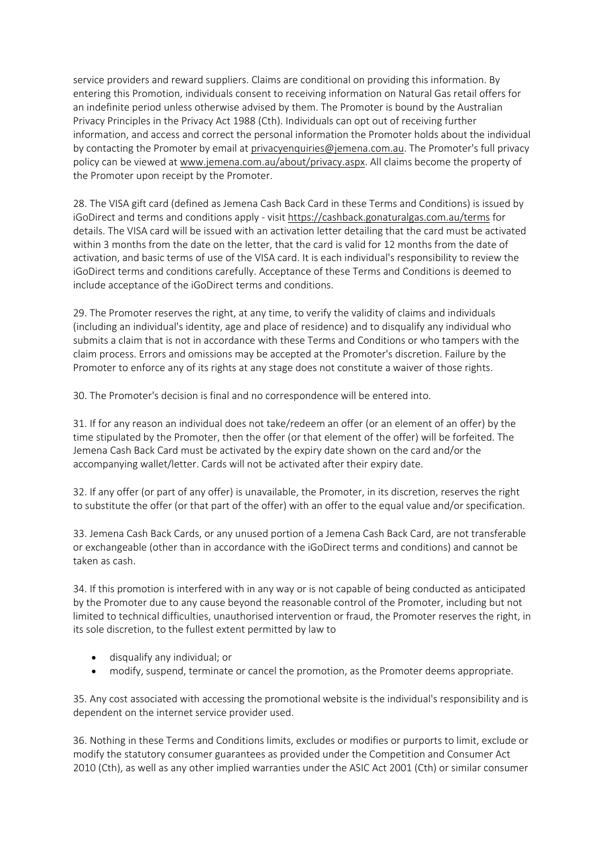service providers and reward suppliers. Claims are conditional on providing this information. By entering this Promotion, individuals consent to receiving information on Natural Gas retail offers for an indefinite period unless otherwise advised by them. The Promoter is bound by the Australian Privacy Principles in the Privacy Act 1988 (Cth). Individuals can opt out of receiving further information, and access and correct the personal information the Promoter holds about the individual by contacting the Promoter by email at privacyenquiries@jemena.com.au. The Promoter's full privacy policy can be viewed at www.jemena.com.au/about/privacy.aspx. All claims become the property of the Promoter upon receipt by the Promoter.

28. The VISA gift card (defined as Jemena Cash Back Card in these Terms and Conditions) is issued by iGoDirect and terms and conditions apply ‐ visit https://cashback.gonaturalgas.com.au/terms for details. The VISA card will be issued with an activation letter detailing that the card must be activated within 3 months from the date on the letter, that the card is valid for 12 months from the date of activation, and basic terms of use of the VISA card. It is each individual's responsibility to review the iGoDirect terms and conditions carefully. Acceptance of these Terms and Conditions is deemed to include acceptance of the iGoDirect terms and conditions.

29. The Promoter reserves the right, at any time, to verify the validity of claims and individuals (including an individual's identity, age and place of residence) and to disqualify any individual who submits a claim that is not in accordance with these Terms and Conditions or who tampers with the claim process. Errors and omissions may be accepted at the Promoter's discretion. Failure by the Promoter to enforce any of its rights at any stage does not constitute a waiver of those rights.

30. The Promoter's decision is final and no correspondence will be entered into.

31. If for any reason an individual does not take/redeem an offer (or an element of an offer) by the time stipulated by the Promoter, then the offer (or that element of the offer) will be forfeited. The Jemena Cash Back Card must be activated by the expiry date shown on the card and/or the accompanying wallet/letter. Cards will not be activated after their expiry date.

32. If any offer (or part of any offer) is unavailable, the Promoter, in its discretion, reserves the right to substitute the offer (or that part of the offer) with an offer to the equal value and/or specification.

33. Jemena Cash Back Cards, or any unused portion of a Jemena Cash Back Card, are not transferable or exchangeable (other than in accordance with the iGoDirect terms and conditions) and cannot be taken as cash.

34. If this promotion is interfered with in any way or is not capable of being conducted as anticipated by the Promoter due to any cause beyond the reasonable control of the Promoter, including but not limited to technical difficulties, unauthorised intervention or fraud, the Promoter reserves the right, in its sole discretion, to the fullest extent permitted by law to

- disqualify any individual; or
- modify, suspend, terminate or cancel the promotion, as the Promoter deems appropriate.

35. Any cost associated with accessing the promotional website is the individual's responsibility and is dependent on the internet service provider used.

36. Nothing in these Terms and Conditions limits, excludes or modifies or purports to limit, exclude or modify the statutory consumer guarantees as provided under the Competition and Consumer Act 2010 (Cth), as well as any other implied warranties under the ASIC Act 2001 (Cth) or similar consumer